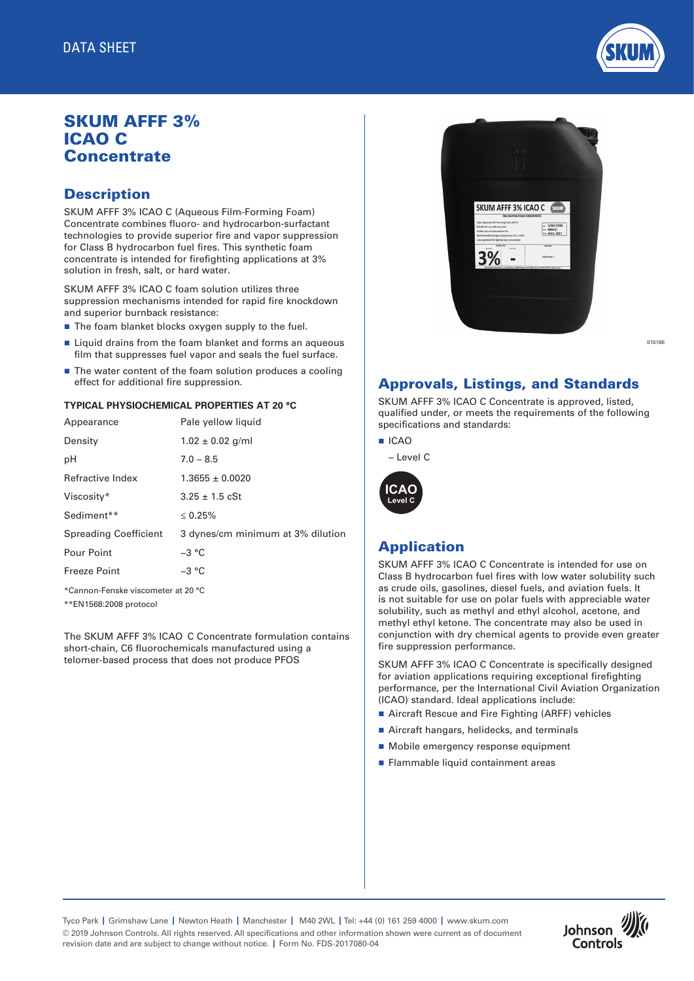

# SKUM AFFF 3% ICAO C **Concentrate**

## **Description**

SKUM AFFF 3% ICAO C (Aqueous Film-Forming Foam) Concentrate combines fluoro- and hydrocarbon-surfactant technologies to provide superior fire and vapor suppression for Class B hydrocarbon fuel fires. This synthetic foam concentrate is intended for firefighting applications at 3% solution in fresh, salt, or hard water.

SKUM AFFF 3% ICAO C foam solution utilizes three suppression mechanisms intended for rapid fire knockdown and superior burnback resistance:

- $\blacksquare$  The foam blanket blocks oxygen supply to the fuel.
- $\blacksquare$  Liquid drains from the foam blanket and forms an aqueous film that suppresses fuel vapor and seals the fuel surface.
- $\blacksquare$  The water content of the foam solution produces a cooling effect for additional fire suppression.

#### **TYPICAL PHYSIOCHEMICAL PROPERTIES AT 20 °C**

| Appearance                         | Pale yellow liquid                |  |  |
|------------------------------------|-----------------------------------|--|--|
| Density                            | $1.02 \pm 0.02$ g/ml              |  |  |
| рH                                 | $7.0 - 8.5$                       |  |  |
| Refractive Index                   | $1.3655 \pm 0.0020$               |  |  |
| Viscosity*                         | $3.25 \pm 1.5$ cSt                |  |  |
| Sediment**                         | $\leq 0.25\%$                     |  |  |
| <b>Spreading Coefficient</b>       | 3 dynes/cm minimum at 3% dilution |  |  |
| Pour Point                         | $-3$ °C                           |  |  |
| <b>Freeze Point</b>                | $-3 °C$                           |  |  |
| *Cannon-Fenske viscometer at 20 °C |                                   |  |  |

\*\*EN1568:2008 protocol

The SKUM AFFF 3% ICAO C Concentrate formulation contains short-chain, C6 fluorochemicals manufactured using a telomer-based process that does not produce PFOS



010166

#### Approvals, Listings, and Standards

SKUM AFFF 3% ICAO C Concentrate is approved, listed, qualified under, or meets the requirements of the following specifications and standards:

- n ICAO
	- Level C



#### Application

SKUM AFFF 3% ICAO C Concentrate is intended for use on Class B hydrocarbon fuel fires with low water solubility such as crude oils, gasolines, diesel fuels, and aviation fuels. It is not suitable for use on polar fuels with appreciable water solubility, such as methyl and ethyl alcohol, acetone, and methyl ethyl ketone. The concentrate may also be used in conjunction with dry chemical agents to provide even greater fire suppression performance.

SKUM AFFF 3% ICAO C Concentrate is specifically designed for aviation applications requiring exceptional firefighting performance, per the International Civil Aviation Organization (ICAO) standard. Ideal applications include:

- Aircraft Rescue and Fire Fighting (ARFF) vehicles
- Aircraft hangars, helidecks, and terminals
- Mobile emergency response equipment
- Flammable liquid containment areas